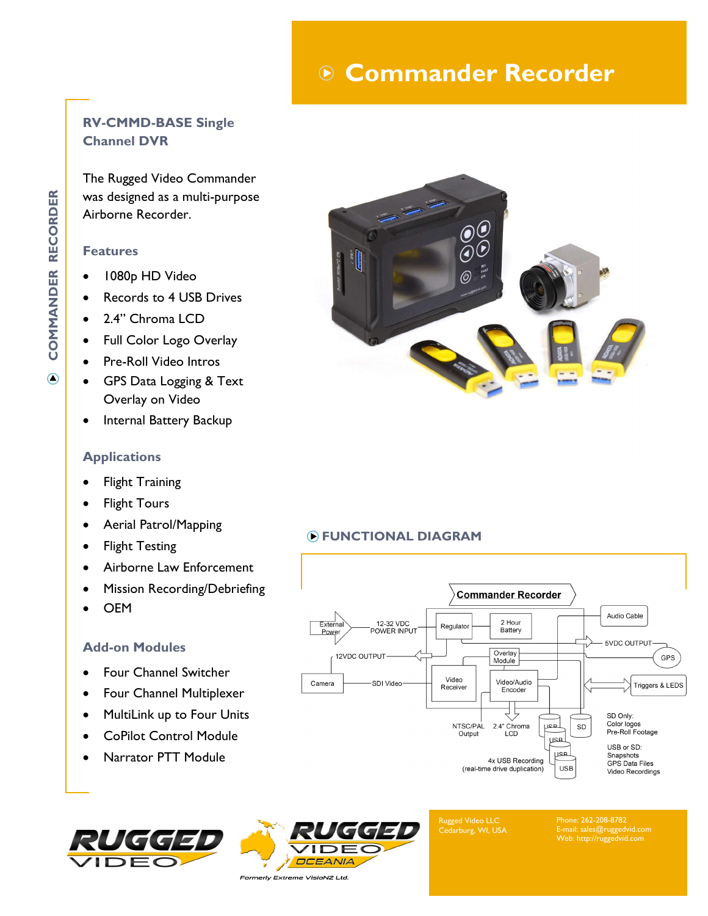# **Commander Recorder**

## **RV-CMMD-BASE Single Channel DVR**

The Rugged Video Commander was designed as a multi-purpose Airborne Recorder.

#### **Features**

- 1080p HD Video
- Records to 4 USB Drives
- 2.4" Chroma LCD
- Full Color Logo Overlay
- Pre-Roll Video Intros
- GPS Data Logging & Text Overlay on Video
- Internal Battery Backup

#### **Applications**

- **Flight Training**
- **Flight Tours**
- Aerial Patrol/Mapping
- Flight Testing
- Airborne Law Enforcement
- Mission Recording/Debriefing
- OEM

#### **Add-on Modules**

- Four Channel Switcher
- Four Channel Multiplexer
- MultiLink up to Four Units
- CoPilot Control Module
- Narrator PTT Module





Externa

Power

Camera

12VDC OUTPUT

Rugged Video LLC Cedarburg, WI, USA

**Commander Recorder** 

2 Hour<br>Battery

Overlay

Module

Video/Audio

Encoder

2.4" Chroma<br>LCD

4x USB Recording

(real-time drive duplication)

لمعر

لععر

لمعر

**USB** 

SD

Regulator

Video

Receiver

NTSC/PAL

Output

Phone: 262-208-8782 E-mail: sales@ruggedvid.com Web: http://ruggedvid.com

Audio Cable

**5VDC OUTPUT** 

SD Only: Color logos

USB or SD:

Snapshots

Pre-Roll Footage

GPS Data Files

Video Recordings

GPS

Triggers & LEDS



### **FUNCTIONAL DIAGRAM**

12-32 VDC

POWER INPUT

-SDI Video

 $\bigcirc$